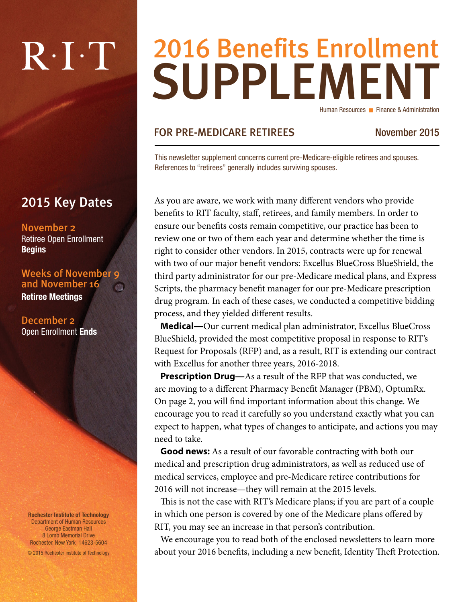# $R \cdot I \cdot T$

### 2015 Key Dates

November 2 Retiree Open Enrollment Begins

Weeks of November 9 and November 16 Retiree Meetings

December 2 Open Enrollment Ends

Rochester Institute of Technology Department of Human Resources George Eastman Hall 8 Lomb Memorial Drive Rochester, New York 14623-5604

© 2015 Rochester Institute of Technology

## SUPPLEMENT 2016 Benefits Enrollment Human Resources Finance & Administration

#### FOR PRE-MEDICARE RETIREES November 2015

This newsletter supplement concerns current pre-Medicare-eligible retirees and spouses. References to "retirees" generally includes surviving spouses.

As you are aware, we work with many different vendors who provide benefits to RIT faculty, staff, retirees, and family members. In order to ensure our benefits costs remain competitive, our practice has been to review one or two of them each year and determine whether the time is right to consider other vendors. In 2015, contracts were up for renewal with two of our major benefit vendors: Excellus BlueCross BlueShield, the third party administrator for our pre-Medicare medical plans, and Express Scripts, the pharmacy benefit manager for our pre-Medicare prescription drug program. In each of these cases, we conducted a competitive bidding process, and they yielded different results.

**Medical—**Our current medical plan administrator, Excellus BlueCross BlueShield, provided the most competitive proposal in response to RIT's Request for Proposals (RFP) and, as a result, RIT is extending our contract with Excellus for another three years, 2016-2018.

**Prescription Drug—**As a result of the RFP that was conducted, we are moving to a different Pharmacy Benefit Manager (PBM), OptumRx. On page 2, you will find important information about this change. We encourage you to read it carefully so you understand exactly what you can expect to happen, what types of changes to anticipate, and actions you may need to take.

**Good news:** As a result of our favorable contracting with both our medical and prescription drug administrators, as well as reduced use of medical services, employee and pre-Medicare retiree contributions for 2016 will not increase—they will remain at the 2015 levels.

This is not the case with RIT's Medicare plans; if you are part of a couple in which one person is covered by one of the Medicare plans offered by RIT, you may see an increase in that person's contribution.

We encourage you to read both of the enclosed newsletters to learn more about your 2016 benefits, including a new benefit, Identity Theft Protection.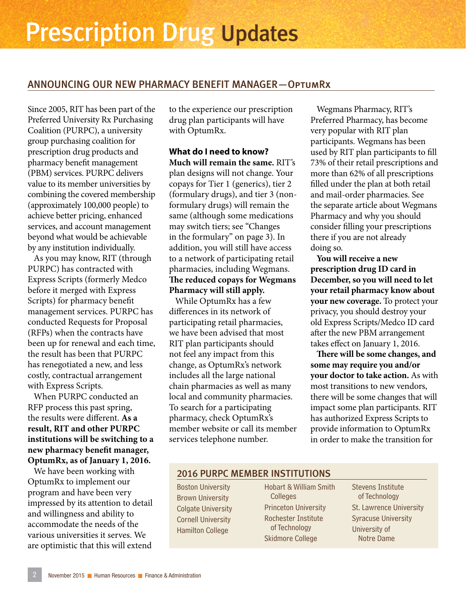#### ANNOUNCING OUR NEW PHARMACY BENEFIT MANAGER—OptumRx

Since 2005, RIT has been part of the Preferred University Rx Purchasing Coalition (PURPC), a university group purchasing coalition for prescription drug products and pharmacy benefit management (PBM) services. PURPC delivers value to its member universities by combining the covered membership (approximately 100,000 people) to achieve better pricing, enhanced services, and account management beyond what would be achievable by any institution individually.

As you may know, RIT (through PURPC) has contracted with Express Scripts (formerly Medco before it merged with Express Scripts) for pharmacy benefit management services. PURPC has conducted Requests for Proposal (RFPs) when the contracts have been up for renewal and each time, the result has been that PURPC has renegotiated a new, and less costly, contractual arrangement with Express Scripts.

When PURPC conducted an RFP process this past spring, the results were different. **As a result, RIT and other PURPC institutions will be switching to a new pharmacy benefit manager, OptumRx, as of January 1, 2016.**

We have been working with OptumRx to implement our program and have been very impressed by its attention to detail and willingness and ability to accommodate the needs of the various universities it serves. We are optimistic that this will extend to the experience our prescription drug plan participants will have with OptumRx.

**What do I need to know? Much will remain the same.** RIT's plan designs will not change. Your copays for Tier 1 (generics), tier 2 (formulary drugs), and tier 3 (nonformulary drugs) will remain the same (although some medications may switch tiers; see "Changes in the formulary" on page 3). In addition, you will still have access to a network of participating retail pharmacies, including Wegmans. **The reduced copays for Wegmans Pharmacy will still apply.**

While OptumRx has a few differences in its network of participating retail pharmacies, we have been advised that most RIT plan participants should not feel any impact from this change, as OptumRx's network includes all the large national chain pharmacies as well as many local and community pharmacies. To search for a participating pharmacy, check OptumRx's member website or call its member services telephone number.

Wegmans Pharmacy, RIT's Preferred Pharmacy, has become very popular with RIT plan participants. Wegmans has been used by RIT plan participants to fill 73% of their retail prescriptions and more than 62% of all prescriptions filled under the plan at both retail and mail-order pharmacies. See the separate article about Wegmans Pharmacy and why you should consider filling your prescriptions there if you are not already doing so.

**You will receive a new prescription drug ID card in December, so you will need to let your retail pharmacy know about your new coverage.** To protect your privacy, you should destroy your old Express Scripts/Medco ID card after the new PBM arrangement takes effect on January 1, 2016.

**There will be some changes, and some may require you and/or your doctor to take action.** As with most transitions to new vendors, there will be some changes that will impact some plan participants. RIT has authorized Express Scripts to provide information to OptumRx in order to make the transition for

#### 2016 PURPC MEMBER INSTITUTIONS

Boston University Brown University Colgate University Cornell University Hamilton College

Hobart & William Smith Colleges Princeton University Rochester Institute of Technology Skidmore College

Stevens Institute of Technology St. Lawrence University Syracuse University University of Notre Dame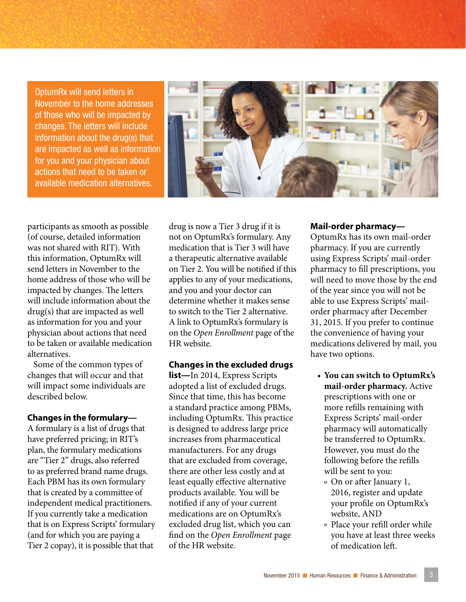OptumRx will send letters in November to the home addresses of those who will be impacted by changes. The letters will include information about the drug(s) that are impacted as well as information for you and your physician about actions that need to be taken or available medication alternatives.



participants as smooth as possible (of course, detailed information was not shared with RIT). With this information, OptumRx will send letters in November to the home address of those who will be impacted by changes. The letters will include information about the drug(s) that are impacted as well as information for you and your physician about actions that need to be taken or available medication alternatives.

Some of the common types of changes that will occur and that will impact some individuals are described below.

#### **Changes in the formulary—**

A formulary is a list of drugs that have preferred pricing; in RIT's plan, the formulary medications are "Tier 2" drugs, also referred to as preferred brand name drugs. Each PBM has its own formulary that is created by a committee of independent medical practitioners. If you currently take a medication that is on Express Scripts' formulary (and for which you are paying a Tier 2 copay), it is possible that that

drug is now a Tier 3 drug if it is not on OptumRx's formulary. Any medication that is Tier 3 will have a therapeutic alternative available on Tier 2. You will be notified if this applies to any of your medications, and you and your doctor can determine whether it makes sense to switch to the Tier 2 alternative. A link to OptumRx's formulary is on the *Open Enrollment* page of the HR website.

#### **Changes in the excluded drugs**

**list—**In 2014, Express Scripts adopted a list of excluded drugs. Since that time, this has become a standard practice among PBMs, including OptumRx. This practice is designed to address large price increases from pharmaceutical manufacturers. For any drugs that are excluded from coverage, there are other less costly and at least equally effective alternative products available. You will be notified if any of your current medications are on OptumRx's excluded drug list, which you can find on the *Open Enrollment* page of the HR website.

#### **Mail-order pharmacy—**

OptumRx has its own mail-order pharmacy. If you are currently using Express Scripts' mail-order pharmacy to fill prescriptions, you will need to move those by the end of the year since you will not be able to use Express Scripts' mailorder pharmacy after December 31, 2015. If you prefer to continue the convenience of having your medications delivered by mail, you have two options.

- **You can switch to OptumRx's mail-order pharmacy.** Active prescriptions with one or more refills remaining with Express Scripts' mail-order pharmacy will automatically be transferred to OptumRx. However, you must do the following before the refills will be sent to you:
	- º On or after January 1, 2016, register and update your profile on OptumRx's website, AND
	- º Place your refill order while you have at least three weeks of medication left.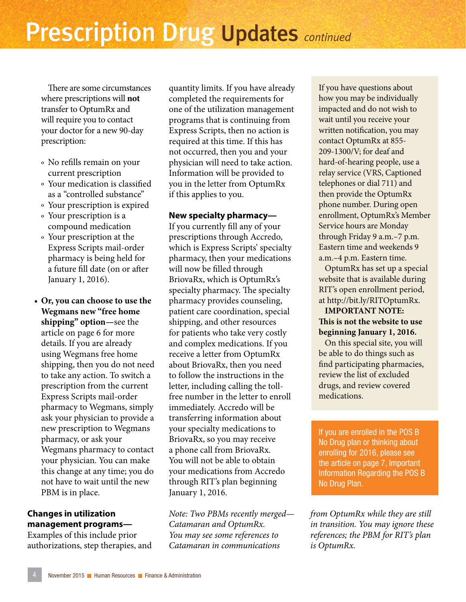There are some circumstances where prescriptions will **not** transfer to OptumRx and will require you to contact your doctor for a new 90-day prescription:

- º No refills remain on your current prescription
- º Your medication is classified as a "controlled substance"
- º Your prescription is expired
- º Your prescription is a compound medication
- º Your prescription at the Express Scripts mail-order pharmacy is being held for a future fill date (on or after January 1, 2016).
- **Or, you can choose to use the Wegmans new "free home shipping" option—**see the article on page 6 for more details. If you are already using Wegmans free home shipping, then you do not need to take any action. To switch a prescription from the current Express Scripts mail-order pharmacy to Wegmans, simply ask your physician to provide a new prescription to Wegmans pharmacy, or ask your Wegmans pharmacy to contact your physician. You can make this change at any time; you do not have to wait until the new PBM is in place.

#### **Changes in utilization management programs—**

Examples of this include prior authorizations, step therapies, and quantity limits. If you have already completed the requirements for one of the utilization management programs that is continuing from Express Scripts, then no action is required at this time. If this has not occurred, then you and your physician will need to take action. Information will be provided to you in the letter from OptumRx if this applies to you.

#### **New specialty pharmacy—**

If you currently fill any of your prescriptions through Accredo, which is Express Scripts' specialty pharmacy, then your medications will now be filled through BriovaRx, which is OptumRx's specialty pharmacy. The specialty pharmacy provides counseling, patient care coordination, special shipping, and other resources for patients who take very costly and complex medications. If you receive a letter from OptumRx about BriovaRx, then you need to follow the instructions in the letter, including calling the tollfree number in the letter to enroll immediately. Accredo will be transferring information about your specialty medications to BriovaRx, so you may receive a phone call from BriovaRx. You will not be able to obtain your medications from Accredo through RIT's plan beginning January 1, 2016.

*Note: Two PBMs recently merged— Catamaran and OptumRx. You may see some references to Catamaran in communications* 

If you have questions about how you may be individually impacted and do not wish to wait until you receive your written notification, you may contact OptumRx at 855- 209-1300/V; for deaf and hard-of-hearing people, use a relay service (VRS, Captioned telephones or dial 711) and then provide the OptumRx phone number. During open enrollment, OptumRx's Member Service hours are Monday through Friday 9 a.m.–7 p.m. Eastern time and weekends 9 a.m.–4 p.m. Eastern time.

OptumRx has set up a special website that is available during RIT's open enrollment period, at http://bit.ly/RITOptumRx.

#### **IMPORTANT NOTE: This is not the website to use beginning January 1, 2016.**

On this special site, you will be able to do things such as find participating pharmacies, review the list of excluded drugs, and review covered medications.

If you are enrolled in the POS B No Drug plan or thinking about enrolling for 2016, please see the article on page 7, Important Information Regarding the POS B No Drug Plan.

*from OptumRx while they are still in transition. You may ignore these references; the PBM for RIT's plan is OptumRx.*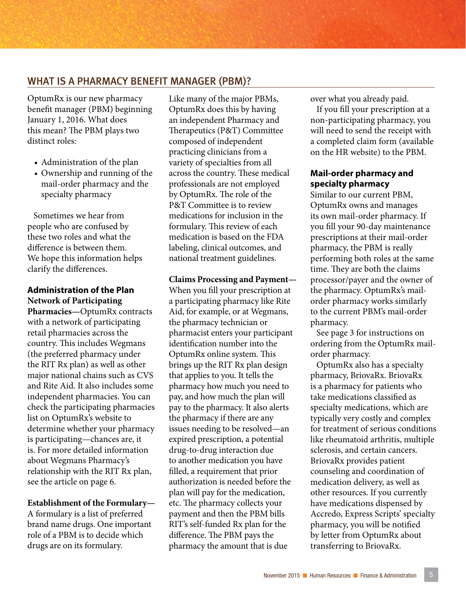#### WHAT IS A PHARMACY BENEFIT MANAGER (PBM)?

OptumRx is our new pharmacy benefit manager (PBM) beginning January 1, 2016. What does this mean? The PBM plays two distinct roles:

- Administration of the plan
- Ownership and running of the mail-order pharmacy and the specialty pharmacy

Sometimes we hear from people who are confused by these two roles and what the difference is between them. We hope this information helps clarify the differences.

**Administration of the Plan Network of Participating Pharmacies—**OptumRx contracts with a network of participating retail pharmacies across the country. This includes Wegmans (the preferred pharmacy under the RIT Rx plan) as well as other major national chains such as CVS and Rite Aid. It also includes some independent pharmacies. You can check the participating pharmacies list on OptumRx's website to determine whether your pharmacy is participating—chances are, it is. For more detailed information about Wegmans Pharmacy's relationship with the RIT Rx plan, see the article on page 6.

#### **Establishment of the Formulary—**

A formulary is a list of preferred brand name drugs. One important role of a PBM is to decide which drugs are on its formulary.

Like many of the major PBMs, OptumRx does this by having an independent Pharmacy and Therapeutics (P&T) Committee composed of independent practicing clinicians from a variety of specialties from all across the country. These medical professionals are not employed by OptumRx. The role of the P&T Committee is to review medications for inclusion in the formulary. This review of each medication is based on the FDA labeling, clinical outcomes, and national treatment guidelines.

**Claims Processing and Payment—**

When you fill your prescription at a participating pharmacy like Rite Aid, for example, or at Wegmans, the pharmacy technician or pharmacist enters your participant identification number into the OptumRx online system. This brings up the RIT Rx plan design that applies to you. It tells the pharmacy how much you need to pay, and how much the plan will pay to the pharmacy. It also alerts the pharmacy if there are any issues needing to be resolved—an expired prescription, a potential drug-to-drug interaction due to another medication you have filled, a requirement that prior authorization is needed before the plan will pay for the medication, etc. The pharmacy collects your payment and then the PBM bills RIT's self-funded Rx plan for the difference. The PBM pays the pharmacy the amount that is due

over what you already paid.

If you fill your prescription at a non-participating pharmacy, you will need to send the receipt with a completed claim form (available on the HR website) to the PBM.

#### **Mail-order pharmacy and specialty pharmacy**

Similar to our current PBM, OptumRx owns and manages its own mail-order pharmacy. If you fill your 90-day maintenance prescriptions at their mail-order pharmacy, the PBM is really performing both roles at the same time. They are both the claims processor/payer and the owner of the pharmacy. OptumRx's mailorder pharmacy works similarly to the current PBM's mail-order pharmacy.

See page 3 for instructions on ordering from the OptumRx mailorder pharmacy.

OptumRx also has a specialty pharmacy, BriovaRx. BriovaRx is a pharmacy for patients who take medications classified as specialty medications, which are typically very costly and complex for treatment of serious conditions like rheumatoid arthritis, multiple sclerosis, and certain cancers. BriovaRx provides patient counseling and coordination of medication delivery, as well as other resources. If you currently have medications dispensed by Accredo, Express Scripts' specialty pharmacy, you will be notified by letter from OptumRx about transferring to BriovaRx.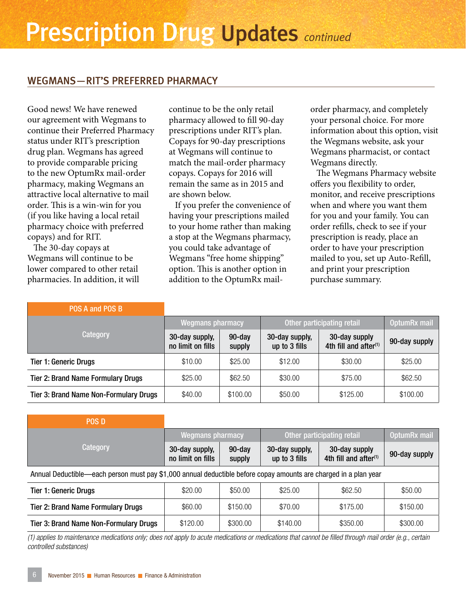#### WEGMANS—RIT'S PREFERRED PHARMACY

Good news! We have renewed our agreement with Wegmans to continue their Preferred Pharmacy status under RIT's prescription drug plan. Wegmans has agreed to provide comparable pricing to the new OptumRx mail-order pharmacy, making Wegmans an attractive local alternative to mail order. This is a win-win for you (if you like having a local retail pharmacy choice with preferred copays) and for RIT.

The 30-day copays at Wegmans will continue to be lower compared to other retail pharmacies. In addition, it will continue to be the only retail pharmacy allowed to fill 90-day prescriptions under RIT's plan. Copays for 90-day prescriptions at Wegmans will continue to match the mail-order pharmacy copays. Copays for 2016 will remain the same as in 2015 and are shown below.

If you prefer the convenience of having your prescriptions mailed to your home rather than making a stop at the Wegmans pharmacy, you could take advantage of Wegmans "free home shipping" option. This is another option in addition to the OptumRx mailorder pharmacy, and completely your personal choice. For more information about this option, visit the Wegmans website, ask your Wegmans pharmacist, or contact Wegmans directly.

The Wegmans Pharmacy website offers you flexibility to order, monitor, and receive prescriptions when and where you want them for you and your family. You can order refills, check to see if your prescription is ready, place an order to have your prescription mailed to you, set up Auto-Refill, and print your prescription purchase summary.

| POS A and POS B                               |                                     |                     |                                 |                                                    |               |
|-----------------------------------------------|-------------------------------------|---------------------|---------------------------------|----------------------------------------------------|---------------|
| Category                                      | <b>Wegmans pharmacy</b>             |                     | Other participating retail      |                                                    | OptumRx mail  |
|                                               | 30-day supply,<br>no limit on fills | $90$ -day<br>supply | 30-day supply,<br>up to 3 fills | 30-day supply<br>4th fill and after <sup>(1)</sup> | 90-day supply |
| <b>Tier 1: Generic Drugs</b>                  | \$10.00                             | \$25.00             | \$12.00                         | \$30.00                                            | \$25.00       |
| <b>Tier 2: Brand Name Formulary Drugs</b>     | \$25.00                             | \$62.50             | \$30.00                         | \$75.00                                            | \$62.50       |
| <b>Tier 3: Brand Name Non-Formulary Drugs</b> | \$40.00                             | \$100.00            | \$50.00                         | \$125.00                                           | \$100.00      |

| <b>POS D</b>                                                                                                     |                                     |                     |                                 |                                                    |               |  |  |
|------------------------------------------------------------------------------------------------------------------|-------------------------------------|---------------------|---------------------------------|----------------------------------------------------|---------------|--|--|
| Category                                                                                                         | <b>Wegmans pharmacy</b>             |                     | Other participating retail      |                                                    | OptumRx mail  |  |  |
|                                                                                                                  | 30-day supply,<br>no limit on fills | $90$ -day<br>supply | 30-day supply,<br>up to 3 fills | 30-day supply<br>4th fill and after <sup>(1)</sup> | 90-day supply |  |  |
| Annual Deductible—each person must pay \$1,000 annual deductible before copay amounts are charged in a plan year |                                     |                     |                                 |                                                    |               |  |  |
| <b>Tier 1: Generic Drugs</b>                                                                                     | \$20.00                             | \$50.00             | \$25.00                         | \$62.50                                            | \$50.00       |  |  |
| <b>Tier 2: Brand Name Formulary Drugs</b>                                                                        | \$60.00                             | \$150.00            | \$70.00                         | \$175.00                                           | \$150.00      |  |  |
| Tier 3: Brand Name Non-Formulary Drugs                                                                           | \$120.00                            | \$300.00            | \$140.00                        | \$350.00                                           | \$300.00      |  |  |

*(1) applies to maintenance medications only; does not apply to acute medications or medications that cannot be filled through mail order (e.g., certain controlled substances)*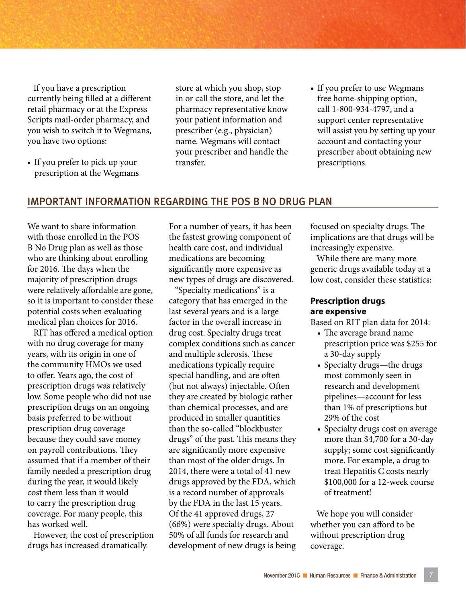If you have a prescription currently being filled at a different retail pharmacy or at the Express Scripts mail-order pharmacy, and you wish to switch it to Wegmans, you have two options:

• If you prefer to pick up your prescription at the Wegmans store at which you shop, stop in or call the store, and let the pharmacy representative know your patient information and prescriber (e.g., physician) name. Wegmans will contact your prescriber and handle the transfer.

• If you prefer to use Wegmans free home-shipping option, call 1-800-934-4797, and a support center representative will assist you by setting up your account and contacting your prescriber about obtaining new prescriptions.

#### IMPORTANT INFORMATION REGARDING THE POS B NO DRUG PLAN

We want to share information with those enrolled in the POS B No Drug plan as well as those who are thinking about enrolling for 2016. The days when the majority of prescription drugs were relatively affordable are gone, so it is important to consider these potential costs when evaluating medical plan choices for 2016.

RIT has offered a medical option with no drug coverage for many years, with its origin in one of the community HMOs we used to offer. Years ago, the cost of prescription drugs was relatively low. Some people who did not use prescription drugs on an ongoing basis preferred to be without prescription drug coverage because they could save money on payroll contributions. They assumed that if a member of their family needed a prescription drug during the year, it would likely cost them less than it would to carry the prescription drug coverage. For many people, this has worked well.

However, the cost of prescription drugs has increased dramatically.

For a number of years, it has been the fastest growing component of health care cost, and individual medications are becoming significantly more expensive as new types of drugs are discovered.

"Specialty medications" is a category that has emerged in the last several years and is a large factor in the overall increase in drug cost. Specialty drugs treat complex conditions such as cancer and multiple sclerosis. These medications typically require special handling, and are often (but not always) injectable. Often they are created by biologic rather than chemical processes, and are produced in smaller quantities than the so-called "blockbuster drugs" of the past. This means they are significantly more expensive than most of the older drugs. In 2014, there were a total of 41 new drugs approved by the FDA, which is a record number of approvals by the FDA in the last 15 years. Of the 41 approved drugs, 27 (66%) were specialty drugs. About 50% of all funds for research and development of new drugs is being focused on specialty drugs. The implications are that drugs will be increasingly expensive.

While there are many more generic drugs available today at a low cost, consider these statistics:

#### **Prescription drugs are expensive**

Based on RIT plan data for 2014:

- The average brand name prescription price was \$255 for a 30-day supply
- Specialty drugs—the drugs most commonly seen in research and development pipelines—account for less than 1% of prescriptions but 29% of the cost
- Specialty drugs cost on average more than \$4,700 for a 30-day supply; some cost significantly more. For example, a drug to treat Hepatitis C costs nearly \$100,000 for a 12-week course of treatment!

We hope you will consider whether you can afford to be without prescription drug coverage.